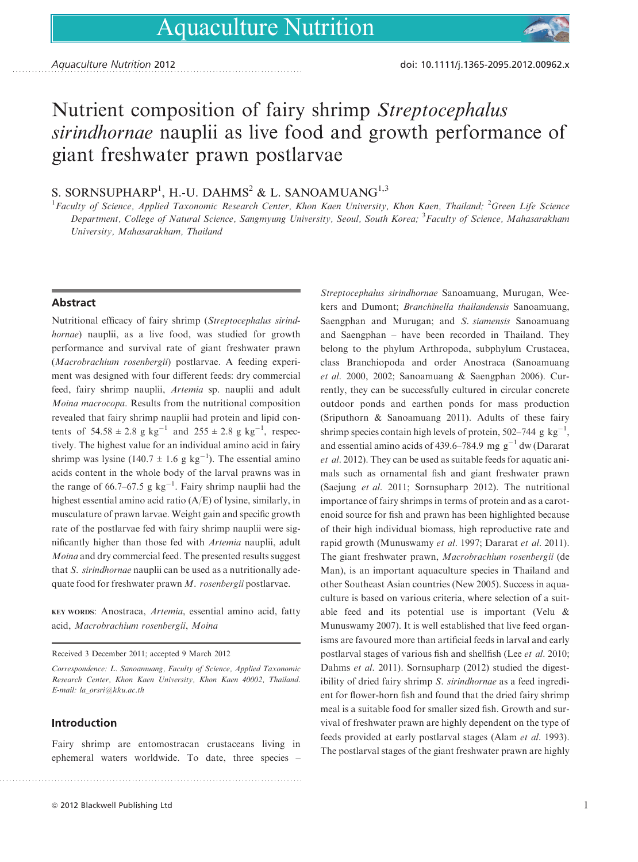# Nutrient composition of fairy shrimp Streptocephalus sirindhornae nauplii as live food and growth performance of giant freshwater prawn postlarvae

## S. SORNSUPHARP<sup>1</sup>, H.-U. DAHMS<sup>2</sup> & L. SANOAMUANG<sup>1,3</sup>

 $^1$ Faculty of Science, Applied Taxonomic Research Center, Khon Kaen University, Khon Kaen, Thailand;  $^2$ Green Life Science Department, College of Natural Science, Sangmyung University, Seoul, South Korea; <sup>3</sup>Faculty of Science, Mahasarakham University, Mahasarakham, Thailand

### **Abstract**

Nutritional efficacy of fairy shrimp (Streptocephalus sirindhornae) nauplii, as a live food, was studied for growth performance and survival rate of giant freshwater prawn (Macrobrachium rosenbergii) postlarvae. A feeding experiment was designed with four different feeds: dry commercial feed, fairy shrimp nauplii, Artemia sp. nauplii and adult Moina macrocopa. Results from the nutritional composition revealed that fairy shrimp nauplii had protein and lipid contents of  $54.58 \pm 2.8$  g kg<sup>-1</sup> and  $255 \pm 2.8$  g kg<sup>-1</sup>, respectively. The highest value for an individual amino acid in fairy shrimp was lysine  $(140.7 \pm 1.6 \text{ g kg}^{-1})$ . The essential amino acids content in the whole body of the larval prawns was in the range of 66.7–67.5 g  $kg^{-1}$ . Fairy shrimp nauplii had the highest essential amino acid ratio (A/E) of lysine, similarly, in musculature of prawn larvae. Weight gain and specific growth rate of the postlarvae fed with fairy shrimp nauplii were significantly higher than those fed with Artemia nauplii, adult Moina and dry commercial feed. The presented results suggest that S. sirindhornae nauplii can be used as a nutritionally adequate food for freshwater prawn M. rosenbergii postlarvae.

KEY WORDS: Anostraca, Artemia, essential amino acid, fatty acid, Macrobrachium rosenbergii, Moina

Received 3 December 2011; accepted 9 March 2012

### Introduction

Fairy shrimp are entomostracan crustaceans living in ephemeral waters worldwide. To date, three species –

Streptocephalus sirindhornae Sanoamuang, Murugan, Weekers and Dumont; Branchinella thailandensis Sanoamuang, Saengphan and Murugan; and S. siamensis Sanoamuang and Saengphan – have been recorded in Thailand. They belong to the phylum Arthropoda, subphylum Crustacea, class Branchiopoda and order Anostraca (Sanoamuang et al. 2000, 2002; Sanoamuang & Saengphan 2006). Currently, they can be successfully cultured in circular concrete outdoor ponds and earthen ponds for mass production (Sriputhorn & Sanoamuang 2011). Adults of these fairy shrimp species contain high levels of protein, 502–744 g  $kg^{-1}$ , and essential amino acids of 439.6–784.9 mg  $g^{-1}$  dw (Dararat et al. 2012). They can be used as suitable feeds for aquatic animals such as ornamental fish and giant freshwater prawn (Saejung et al. 2011; Sornsupharp 2012). The nutritional importance of fairy shrimps in terms of protein and as a carotenoid source for fish and prawn has been highlighted because of their high individual biomass, high reproductive rate and rapid growth (Munuswamy et al. 1997; Dararat et al. 2011). The giant freshwater prawn, Macrobrachium rosenbergii (de Man), is an important aquaculture species in Thailand and other Southeast Asian countries (New 2005). Success in aquaculture is based on various criteria, where selection of a suitable feed and its potential use is important (Velu & Munuswamy 2007). It is well established that live feed organisms are favoured more than artificial feeds in larval and early postlarval stages of various fish and shellfish (Lee et al. 2010; Dahms et al. 2011). Sornsupharp (2012) studied the digestibility of dried fairy shrimp S. sirindhornae as a feed ingredient for flower-horn fish and found that the dried fairy shrimp meal is a suitable food for smaller sized fish. Growth and survival of freshwater prawn are highly dependent on the type of feeds provided at early postlarval stages (Alam et al. 1993). The postlarval stages of the giant freshwater prawn are highly

Correspondence: L. Sanoamuang, Faculty of Science, Applied Taxonomic Research Center, Khon Kaen University, Khon Kaen 40002, Thailand. E-mail: la\_orsri@kku.ac.th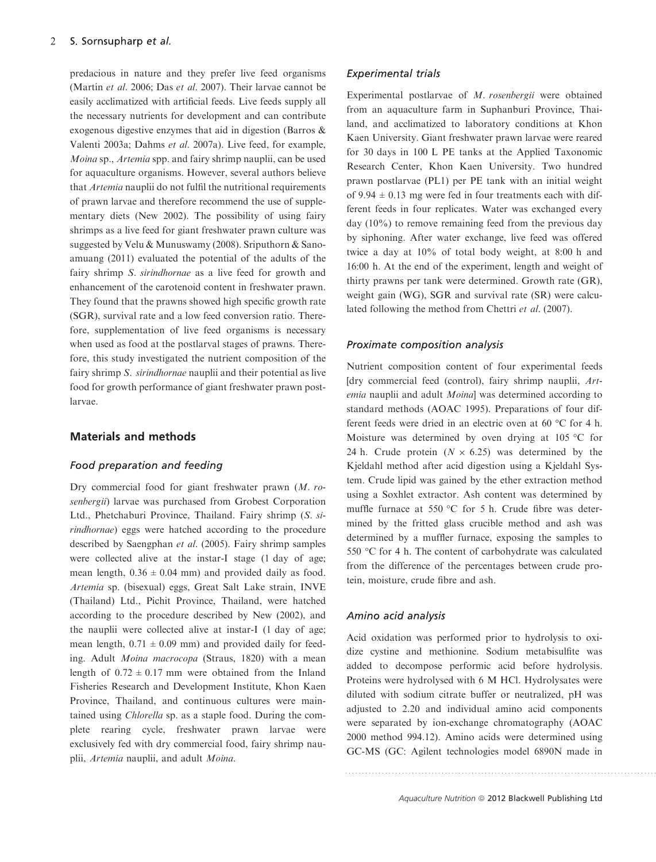#### $\overline{2}$ S. Sornsupharp et al.

predacious in nature and they prefer live feed organisms (Martín et al. 2006; Das et al. 2007). Their larvae cannot be easily acclimatized with artificial feeds. Live feeds supply all the necessary nutrients for development and can contribute exogenous digestive enzymes that aid in digestion (Barros & Valenti 2003a; Dahms et al. 2007a). Live feed, for example, Moina sp., Artemia spp. and fairy shrimp nauplii, can be used for aquaculture organisms. However, several authors believe that Artemia nauplii do not fulfil the nutritional requirements of prawn larvae and therefore recommend the use of supplementary diets (New 2002). The possibility of using fairy shrimps as a live feed for giant freshwater prawn culture was suggested by Velu & Munuswamy (2008). Sriputhorn & Sanoamuang (2011) evaluated the potential of the adults of the fairy shrimp S. sirindhornae as a live feed for growth and enhancement of the carotenoid content in freshwater prawn. They found that the prawns showed high specific growth rate (SGR), survival rate and a low feed conversion ratio. Therefore, supplementation of live feed organisms is necessary when used as food at the postlarval stages of prawns. Therefore, this study investigated the nutrient composition of the fairy shrimp S. *sirindhornae* nauplii and their potential as live food for growth performance of giant freshwater prawn postlarvae.

#### **Materials and methods**

#### Food preparation and feeding

Dry commercial food for giant freshwater prawn (M. rosenbergii) larvae was purchased from Grobest Corporation Ltd., Phetchaburi Province, Thailand. Fairy shrimp (S. sirindhornae) eggs were hatched according to the procedure described by Saengphan et al. (2005). Fairy shrimp samples were collected alive at the instar-I stage (1 day of age; mean length,  $0.36 \pm 0.04$  mm) and provided daily as food. Artemia sp. (bisexual) eggs, Great Salt Lake strain, INVE (Thailand) Ltd., Pichit Province, Thailand, were hatched according to the procedure described by New (2002), and the nauplii were collected alive at instar-I (1 day of age; mean length,  $0.71 \pm 0.09$  mm) and provided daily for feeding. Adult Moina macrocopa (Straus, 1820) with a mean length of  $0.72 \pm 0.17$  mm were obtained from the Inland Fisheries Research and Development Institute, Khon Kaen Province, Thailand, and continuous cultures were maintained using Chlorella sp. as a staple food. During the complete rearing cycle, freshwater prawn larvae were exclusively fed with dry commercial food, fairy shrimp nauplii, Artemia nauplii, and adult Moina.

#### **Experimental trials**

Experimental postlarvae of M. rosenbergii were obtained from an aquaculture farm in Suphanburi Province, Thailand, and acclimatized to laboratory conditions at Khon Kaen University. Giant freshwater prawn larvae were reared for 30 days in 100 L PE tanks at the Applied Taxonomic Research Center, Khon Kaen University. Two hundred prawn postlarvae (PL1) per PE tank with an initial weight of 9.94  $\pm$  0.13 mg were fed in four treatments each with different feeds in four replicates. Water was exchanged every day (10%) to remove remaining feed from the previous day by siphoning. After water exchange, live feed was offered twice a day at 10% of total body weight, at 8:00 h and 16:00 h. At the end of the experiment, length and weight of thirty prawns per tank were determined. Growth rate (GR), weight gain (WG), SGR and survival rate (SR) were calculated following the method from Chettri et al. (2007).

#### Proximate composition analysis

Nutrient composition content of four experimental feeds [dry commercial feed (control), fairy shrimp nauplii, Artemia nauplii and adult Moina] was determined according to standard methods (AOAC 1995). Preparations of four different feeds were dried in an electric oven at 60 °C for 4 h. Moisture was determined by oven drying at 105 °C for 24 h. Crude protein  $(N \times 6.25)$  was determined by the Kjeldahl method after acid digestion using a Kjeldahl System. Crude lipid was gained by the ether extraction method using a Soxhlet extractor. Ash content was determined by muffle furnace at 550 °C for 5 h. Crude fibre was determined by the fritted glass crucible method and ash was determined by a muffler furnace, exposing the samples to 550 °C for 4 h. The content of carbohydrate was calculated from the difference of the percentages between crude protein, moisture, crude fibre and ash.

#### Amino acid analysis

Acid oxidation was performed prior to hydrolysis to oxidize cystine and methionine. Sodium metabisulfite was added to decompose performic acid before hydrolysis. Proteins were hydrolysed with 6 M HCl. Hydrolysates were diluted with sodium citrate buffer or neutralized, pH was adjusted to 2.20 and individual amino acid components were separated by ion-exchange chromatography (AOAC 2000 method 994.12). Amino acids were determined using GC-MS (GC: Agilent technologies model 6890N made in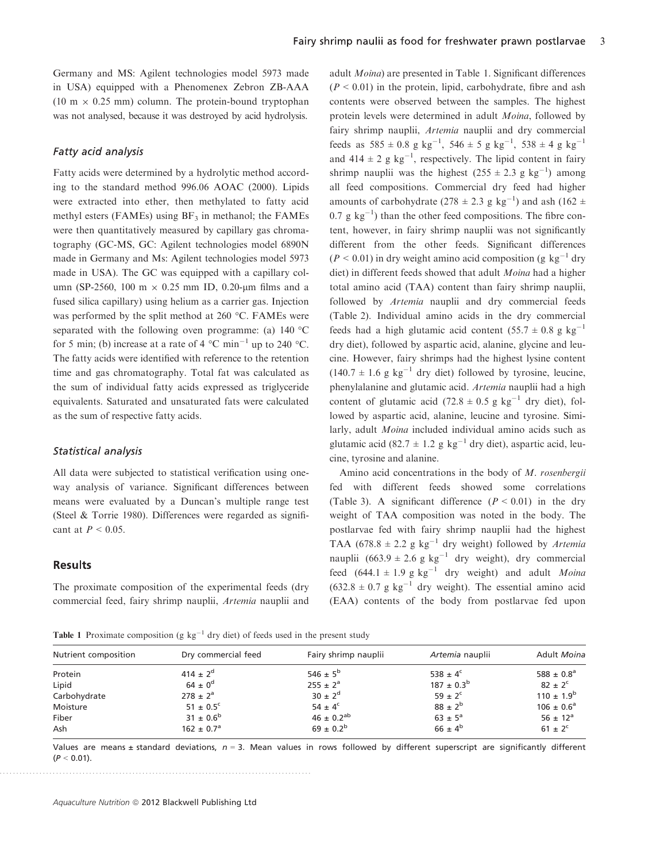Germany and MS: Agilent technologies model 5973 made in USA) equipped with a Phenomenex Zebron ZB-AAA (10 m  $\times$  0.25 mm) column. The protein-bound tryptophan was not analysed, because it was destroyed by acid hydrolysis.

#### Fatty acid analysis

Fatty acids were determined by a hydrolytic method according to the standard method 996.06 AOAC (2000). Lipids were extracted into ether, then methylated to fatty acid methyl esters (FAMEs) using  $BF_3$  in methanol; the FAMEs were then quantitatively measured by capillary gas chromatography (GC-MS, GC: Agilent technologies model 6890N made in Germany and Ms: Agilent technologies model 5973 made in USA). The GC was equipped with a capillary column (SP-2560, 100 m  $\times$  0.25 mm ID, 0.20-um films and a fused silica capillary) using helium as a carrier gas. Injection was performed by the split method at 260 °C. FAMEs were separated with the following oven programme: (a) 140 °C for 5 min; (b) increase at a rate of 4  $^{\circ}$ C min<sup>-1</sup> up to 240  $^{\circ}$ C. The fatty acids were identified with reference to the retention time and gas chromatography. Total fat was calculated as the sum of individual fatty acids expressed as triglyceride equivalents. Saturated and unsaturated fats were calculated as the sum of respective fatty acids.

#### Statistical analysis

All data were subjected to statistical verification using oneway analysis of variance. Significant differences between means were evaluated by a Duncan's multiple range test (Steel & Torrie 1980). Differences were regarded as significant at  $P < 0.05$ .

#### **Results**

The proximate composition of the experimental feeds (dry commercial feed, fairy shrimp nauplii, Artemia nauplii and

adult Moina) are presented in Table 1. Significant differences  $(P < 0.01)$  in the protein, lipid, carbohydrate, fibre and ash contents were observed between the samples. The highest protein levels were determined in adult Moina, followed by fairy shrimp nauplii, Artemia nauplii and dry commercial feeds as  $585 \pm 0.8$  g kg<sup>-1</sup>,  $546 \pm 5$  g kg<sup>-1</sup>,  $538 \pm 4$  g kg<sup>-1</sup> and  $414 \pm 2$  g kg<sup>-1</sup>, respectively. The lipid content in fairy shrimp nauplii was the highest  $(255 \pm 2.3 \text{ g kg}^{-1})$  among all feed compositions. Commercial dry feed had higher amounts of carbohydrate ( $278 \pm 2.3$  g kg<sup>-1</sup>) and ash (162  $\pm$  $0.7 \text{ g kg}^{-1}$ ) than the other feed compositions. The fibre content, however, in fairy shrimp nauplii was not significantly different from the other feeds. Significant differences  $(P < 0.01)$  in dry weight amino acid composition (g kg<sup>-1</sup> dry diet) in different feeds showed that adult Moina had a higher total amino acid (TAA) content than fairy shrimp nauplii, followed by *Artemia* nauplii and dry commercial feeds (Table 2). Individual amino acids in the dry commercial feeds had a high glutamic acid content  $(55.7 \pm 0.8 \text{ g kg}^{-1})$ dry diet), followed by aspartic acid, alanine, glycine and leucine. However, fairy shrimps had the highest lysine content  $(140.7 \pm 1.6 \text{ g kg}^{-1} \text{ dry diet})$  followed by tyrosine, leucine, phenylalanine and glutamic acid. Artemia nauplii had a high content of glutamic acid (72.8  $\pm$  0.5 g kg<sup>-1</sup> dry diet), followed by aspartic acid, alanine, leucine and tyrosine. Similarly, adult *Moina* included individual amino acids such as glutamic acid (82.7  $\pm$  1.2 g kg<sup>-1</sup> dry diet), aspartic acid, leucine, tyrosine and alanine.

Amino acid concentrations in the body of M. rosenbergii fed with different feeds showed some correlations (Table 3). A significant difference  $(P < 0.01)$  in the dry weight of TAA composition was noted in the body. The postlarvae fed with fairy shrimp nauplii had the highest TAA (678.8  $\pm$  2.2 g kg<sup>-1</sup> dry weight) followed by *Artemia* nauplii  $(663.9 \pm 2.6 \text{ g kg}^{-1} \text{ dry weight})$ , dry commercial feed  $(644.1 \pm 1.9 \text{ g kg}^{-1}$  dry weight) and adult *Moina*  $(632.8 \pm 0.7 \text{ g kg}^{-1} \text{ dry weight})$ . The essential amino acid (EAA) contents of the body from postlarvae fed upon

**Table 1** Proximate composition (g  $kg^{-1}$  dry diet) of feeds used in the present study

| Nutrient composition | Dry commercial feed   | Fairy shrimp nauplii | Artemia nauplii    | Adult Moina           |
|----------------------|-----------------------|----------------------|--------------------|-----------------------|
| Protein              | $414 \pm 2^{d}$       | $546 \pm 5^{b}$      | 538 ± $4^c$        | 588 ± $0.8^a$         |
| Lipid                | $64 \pm 0^d$          | $255 \pm 2^a$        | $187 \pm 0.3^b$    | $82 \pm 2^{\circ}$    |
| Carbohydrate         | $278 \pm 2^a$         | $30 \pm 2^d$         | $59 \pm 2^{\circ}$ | $110 \pm 1.9^b$       |
| Moisture             | $51 \pm 0.5^{\circ}$  | $54 \pm 4^{\circ}$   | $88 \pm 2^{b}$     | $106 \pm 0.6^{\circ}$ |
| Fiber                | $31 \pm 0.6^b$        | $46 \pm 0.2^{ab}$    | $63 \pm 5^{\circ}$ | $56 \pm 12^a$         |
| Ash                  | $162 \pm 0.7^{\circ}$ | $69 \pm 0.2^b$       | $66 \pm 4^b$       | $61 \pm 2^{c}$        |

Values are means ± standard deviations,  $n = 3$ . Mean values in rows followed by different superscript are significantly different  $(P < 0.01)$ .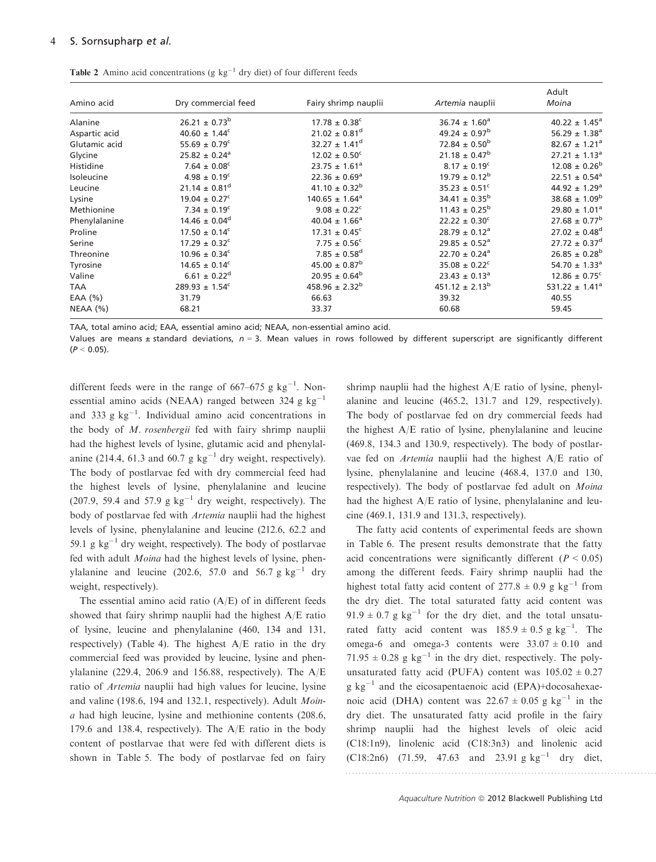| Amino acid    | Dry commercial feed           | Fairy shrimp nauplii          | Artemia nauplii               | Adult<br>Moina                 |
|---------------|-------------------------------|-------------------------------|-------------------------------|--------------------------------|
| Alanine       | $26.21 \pm 0.73^b$            | $17.78 \pm 0.38^c$            | $36.74 \pm 1.60^a$            | $40.22 \pm 1.45^a$             |
| Aspartic acid | $40.60 \pm 1.44^c$            | $21.02 \pm 0.81$ <sup>d</sup> | $49.24 \pm 0.97^{\rm b}$      | $56.29 \pm 1.38$ <sup>a</sup>  |
| Glutamic acid | $55.69 \pm 0.79^{\circ}$      | $32.27 \pm 1.41^{\circ}$      | $72.84 \pm 0.50^{\rm b}$      | $82.67 \pm 1.21$ <sup>a</sup>  |
| Glycine       | $25.82 \pm 0.24$ <sup>a</sup> | $12.02 \pm 0.50^{\circ}$      | $21.18 \pm 0.47^b$            | $27.21 \pm 1.13^a$             |
| Histidine     | $7.64 \pm 0.08^c$             | $23.75 \pm 1.61^a$            | $8.17 \pm 0.19^{\circ}$       | $12.08 \pm 0.26^b$             |
| Isoleucine    | $4.98 \pm 0.19^c$             | $22.36 \pm 0.69^{\circ}$      | $19.79 \pm 0.12^b$            | $22.51 \pm 0.54$ <sup>a</sup>  |
| Leucine       | $21.14 \pm 0.81^d$            | $41.10 \pm 0.32^b$            | $35.23 \pm 0.51$ <sup>c</sup> | $44.92 \pm 1.29$ <sup>a</sup>  |
| Lysine        | $19.04 \pm 0.27$ <sup>c</sup> | $140.65 \pm 1.64^a$           | $34.41 \pm 0.35^{\text{b}}$   | $38.68 \pm 1.09^b$             |
| Methionine    | $7.34 \pm 0.19^c$             | $9.08 \pm 0.22^{\circ}$       | $11.43 \pm 0.25^{\circ}$      | $29.80 \pm 1.01^a$             |
| Phenylalanine | $14.46 \pm 0.04^d$            | $40.04 \pm 1.66^{\circ}$      | $22.22 \pm 0.30^{\circ}$      | $27.68 \pm 0.77^{\rm b}$       |
| Proline       | $17.50 \pm 0.14^c$            | $17.31 \pm 0.45^{\circ}$      | $28.79 \pm 0.12^a$            | $27.02 \pm 0.48^d$             |
| Serine        | $17.29 \pm 0.32^{\circ}$      | $7.75 \pm 0.56^{\circ}$       | $29.85 \pm 0.52^a$            | $27.72 \pm 0.37^{\circ}$       |
| Threonine     | $10.96 \pm 0.34^c$            | $7.85 \pm 0.58$ <sup>d</sup>  | $22.70 \pm 0.24$ <sup>a</sup> | $26.85 \pm 0.28^{\rm b}$       |
| Tyrosine      | $14.65 \pm 0.14^c$            | $45.00 \pm 0.87^{\rm b}$      | $35.08 \pm 0.22^c$            | $54.70 \pm 1.33$ <sup>a</sup>  |
| Valine        | $6.61 \pm 0.22^d$             | $20.95 \pm 0.64^b$            | $23.43 \pm 0.13^a$            | $12.86 \pm 0.75$ <sup>c</sup>  |
| <b>TAA</b>    | $289.93 \pm 1.54^c$           | $458.96 \pm 2.32^b$           | $451.12 \pm 2.13^b$           | 531.22 $\pm$ 1.41 <sup>a</sup> |
| EAA $(%)$     | 31.79                         | 66.63                         | 39.32                         | 40.55                          |
| NEAA (%)      | 68.21                         | 33.37                         | 60.68                         | 59.45                          |

Table 2 Amino acid concentrations (g  $kg^{-1}$  dry diet) of four different feeds

TAA, total amino acid; EAA, essential amino acid; NEAA, non-essential amino acid.

Values are means ± standard deviations,  $n = 3$ . Mean values in rows followed by different superscript are significantly different  $(P < 0.05)$ .

different feeds were in the range of 667–675 g  $kg^{-1}$ . Nonessential amino acids (NEAA) ranged between 324 g  $kg^{-1}$ and 333 g  $kg^{-1}$ . Individual amino acid concentrations in the body of  $M$ . rosenbergii fed with fairy shrimp nauplii had the highest levels of lysine, glutamic acid and phenylalanine (214.4, 61.3 and 60.7 g  $kg^{-1}$  dry weight, respectively). The body of postlarvae fed with dry commercial feed had the highest levels of lysine, phenylalanine and leucine (207.9, 59.4 and 57.9 g  $kg^{-1}$  dry weight, respectively). The body of postlarvae fed with Artemia nauplii had the highest levels of lysine, phenylalanine and leucine (212.6, 62.2 and 59.1 g  $kg^{-1}$  dry weight, respectively). The body of postlarvae fed with adult Moina had the highest levels of lysine, phenylalanine and leucine (202.6, 57.0 and 56.7 g kg<sup>-1</sup> dry weight, respectively).

The essential amino acid ratio (A/E) of in different feeds showed that fairy shrimp nauplii had the highest A/E ratio of lysine, leucine and phenylalanine (460, 134 and 131, respectively) (Table 4). The highest A/E ratio in the dry commercial feed was provided by leucine, lysine and phenylalanine (229.4, 206.9 and 156.88, respectively). The A/E ratio of Artemia nauplii had high values for leucine, lysine and valine (198.6, 194 and 132.1, respectively). Adult Moina had high leucine, lysine and methionine contents (208.6, 179.6 and 138.4, respectively). The A/E ratio in the body content of postlarvae that were fed with different diets is shown in Table 5. The body of postlarvae fed on fairy

shrimp nauplii had the highest A/E ratio of lysine, phenylalanine and leucine (465.2, 131.7 and 129, respectively). The body of postlarvae fed on dry commercial feeds had the highest A/E ratio of lysine, phenylalanine and leucine (469.8, 134.3 and 130.9, respectively). The body of postlarvae fed on Artemia nauplii had the highest A/E ratio of lysine, phenylalanine and leucine (468.4, 137.0 and 130, respectively). The body of postlarvae fed adult on Moina had the highest A/E ratio of lysine, phenylalanine and leucine (469.1, 131.9 and 131.3, respectively).

The fatty acid contents of experimental feeds are shown in Table 6. The present results demonstrate that the fatty acid concentrations were significantly different ( $P < 0.05$ ) among the different feeds. Fairy shrimp nauplii had the highest total fatty acid content of  $277.8 \pm 0.9$  g kg<sup>-1</sup> from the dry diet. The total saturated fatty acid content was  $91.9 \pm 0.7$  g kg<sup>-1</sup> for the dry diet, and the total unsaturated fatty acid content was  $185.9 \pm 0.5$  g kg<sup>-1</sup>. The omega-6 and omega-3 contents were  $33.07 \pm 0.10$  and  $71.95 \pm 0.28$  g kg<sup>-1</sup> in the dry diet, respectively. The polyunsaturated fatty acid (PUFA) content was  $105.02 \pm 0.27$ g  $kg^{-1}$  and the eicosapentaenoic acid (EPA)+docosahexaenoic acid (DHA) content was  $22.67 \pm 0.05$  g kg<sup>-1</sup> in the dry diet. The unsaturated fatty acid profile in the fairy shrimp nauplii had the highest levels of oleic acid (C18:1n9), linolenic acid (C18:3n3) and linolenic acid  $(C18:2n6)$  (71.59, 47.63 and 23.91 g kg<sup>-1</sup> dry diet,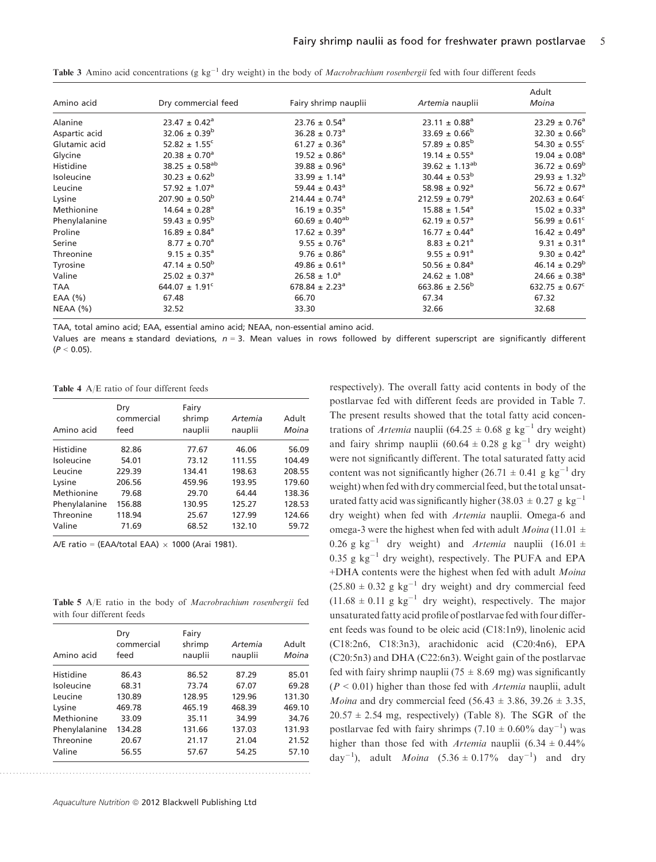| Amino acid    | Dry commercial feed           | Fairy shrimp nauplii           | Artemia nauplii                | Adult<br>Moina                |
|---------------|-------------------------------|--------------------------------|--------------------------------|-------------------------------|
| Alanine       | $23.47 \pm 0.42$ <sup>a</sup> | $23.76 \pm 0.54$ <sup>a</sup>  | $23.11 \pm 0.88^a$             | $23.29 \pm 0.76^a$            |
| Aspartic acid | $32.06 \pm 0.39^b$            | $36.28 \pm 0.73$ <sup>a</sup>  | $33.69 \pm 0.66^b$             | $32.30 \pm 0.66^{\circ}$      |
| Glutamic acid | $52.82 \pm 1.55^{\circ}$      | $61.27 \pm 0.36^a$             | $57.89 \pm 0.85^{\rm b}$       | 54.30 $\pm$ 0.55 <sup>c</sup> |
| Glycine       | $20.38 \pm 0.70^a$            | $19.52 \pm 0.86^a$             | $19.14 \pm 0.55^{\circ}$       | $19.04 \pm 0.08^a$            |
| Histidine     | $38.25 \pm 0.58^{ab}$         | $39.88 \pm 0.96^{\circ}$       | $39.62 \pm 1.13^{ab}$          | $36.72 \pm 0.69^b$            |
| Isoleucine    | $30.23 \pm 0.62^b$            | $33.99 \pm 1.14^a$             | $30.44 \pm 0.53^b$             | $29.93 \pm 1.32^b$            |
| Leucine       | $57.92 \pm 1.07$ <sup>a</sup> | 59.44 $\pm$ 0.43 <sup>a</sup>  | $58.98 \pm 0.92$ <sup>a</sup>  | $56.72 \pm 0.67$ <sup>a</sup> |
| Lysine        | $207.90 \pm 0.50^{\circ}$     | $214.44 \pm 0.74$ <sup>a</sup> | $212.59 \pm 0.79$ <sup>a</sup> | $202.63 \pm 0.64^{\circ}$     |
| Methionine    | $14.64 \pm 0.28$ <sup>a</sup> | $16.19 \pm 0.35^a$             | $15.88 \pm 1.54$ <sup>a</sup>  | $15.02 \pm 0.33^a$            |
| Phenylalanine | $59.43 \pm 0.95^{\circ}$      | $60.69 \pm 0.40^{ab}$          | $62.19 \pm 0.57$ <sup>a</sup>  | $56.99 \pm 0.61^{\circ}$      |
| Proline       | $16.89 \pm 0.84$ <sup>a</sup> | $17.62 \pm 0.39$ <sup>a</sup>  | $16.77 \pm 0.44^{\circ}$       | $16.42 \pm 0.49^a$            |
| Serine        | $8.77 \pm 0.70$ <sup>a</sup>  | $9.55 \pm 0.76$ <sup>a</sup>   | $8.83 \pm 0.21$ <sup>a</sup>   | $9.31 \pm 0.31^a$             |
| Threonine     | $9.15 \pm 0.35^a$             | $9.76 \pm 0.86$ <sup>a</sup>   | $9.55 \pm 0.91$ <sup>a</sup>   | $9.30 \pm 0.42$ <sup>a</sup>  |
| Tyrosine      | $47.14 \pm 0.50^{\rm b}$      | 49.86 $\pm$ 0.61 <sup>a</sup>  | $50.56 \pm 0.84$ <sup>a</sup>  | $46.14 \pm 0.29^b$            |
| Valine        | $25.02 \pm 0.37$ <sup>a</sup> | $26.58 \pm 1.0^a$              | $24.62 \pm 1.08$ <sup>a</sup>  | $24.66 \pm 0.38$ <sup>a</sup> |
| TAA           | $644.07 \pm 1.91^{\circ}$     | $678.84 \pm 2.23$ <sup>a</sup> | $663.86 \pm 2.56^b$            | $632.75 \pm 0.67^c$           |
| EAA $(%)$     | 67.48                         | 66.70                          | 67.34                          | 67.32                         |
| NEAA (%)      | 32.52                         | 33.30                          | 32.66                          | 32.68                         |

**Table 3** Amino acid concentrations (g kg<sup>-1</sup> dry weight) in the body of *Macrobrachium rosenbergii* fed with four different feeds

TAA, total amino acid; EAA, essential amino acid; NEAA, non-essential amino acid.

Values are means ± standard deviations,  $n = 3$ . Mean values in rows followed by different superscript are significantly different  $(P < 0.05)$ .

Table 4 A/E ratio of four different feeds

| Amino acid    | Dry<br>commercial<br>feed | Fairy<br>shrimp<br>nauplii | Artemia<br>nauplii | Adult<br>Moina |
|---------------|---------------------------|----------------------------|--------------------|----------------|
| Histidine     | 82.86                     | 77.67                      | 46.06              | 56.09          |
| Isoleucine    | 54.01                     | 73.12                      | 111.55             | 104.49         |
| Leucine       | 229.39                    | 134.41                     | 198.63             | 208.55         |
| Lysine        | 206.56                    | 459.96                     | 193.95             | 179.60         |
| Methionine    | 79.68                     | 29.70                      | 64.44              | 138.36         |
| Phenylalanine | 156.88                    | 130.95                     | 125.27             | 128.53         |
| Threonine     | 118.94                    | 25.67                      | 127.99             | 124.66         |
| Valine        | 71.69                     | 68.52                      | 132.10             | 59.72          |

A/E ratio = (EAA/total EAA)  $\times$  1000 (Arai 1981).

Table 5 A/E ratio in the body of Macrobrachium rosenbergii fed with four different feeds

| Amino acid    | Dry<br>commercial<br>feed | Fairy<br>shrimp<br>nauplii | Artemia<br>nauplii | Adult<br>Moina |
|---------------|---------------------------|----------------------------|--------------------|----------------|
| Histidine     | 86.43                     | 86.52                      | 87.29              | 85.01          |
| Isoleucine    | 68.31                     | 73.74                      | 67.07              | 69.28          |
| Leucine       | 130.89                    | 128.95                     | 129.96             | 131.30         |
| Lysine        | 469.78                    | 465.19                     | 468.39             | 469.10         |
| Methionine    | 33.09                     | 35.11                      | 34.99              | 34.76          |
| Phenylalanine | 134.28                    | 131.66                     | 137.03             | 131.93         |
| Threonine     | 20.67                     | 21.17                      | 21.04              | 21.52          |
| Valine        | 56.55                     | 57.67                      | 54.25              | 57.10          |

Aquaculture Nutrition @ 2012 Blackwell Publishing Ltd

..............................................................................................

respectively). The overall fatty acid contents in body of the postlarvae fed with different feeds are provided in Table 7. The present results showed that the total fatty acid concentrations of *Artemia* nauplii (64.25  $\pm$  0.68 g kg<sup>-1</sup> dry weight) and fairy shrimp nauplii  $(60.64 \pm 0.28 \text{ g kg}^{-1} \text{ dry weight})$ were not significantly different. The total saturated fatty acid content was not significantly higher (26.71  $\pm$  0.41 g kg<sup>-1</sup> dry weight) when fed with dry commercial feed, but the total unsaturated fatty acid was significantly higher (38.03  $\pm$  0.27 g kg<sup>-1</sup> dry weight) when fed with Artemia nauplii. Omega-6 and omega-3 were the highest when fed with adult *Moina* (11.01  $\pm$ 0.26 g kg<sup>-1</sup> dry weight) and *Artemia* nauplii (16.01 ±  $0.35$  g kg<sup>-1</sup> dry weight), respectively. The PUFA and EPA +DHA contents were the highest when fed with adult Moina  $(25.80 \pm 0.32 \text{ g kg}^{-1} \text{ dry weight})$  and dry commercial feed  $(11.68 \pm 0.11 \text{ g kg}^{-1} \text{ dry weight})$ , respectively. The major unsaturated fatty acid profile of postlarvae fed with four different feeds was found to be oleic acid (C18:1n9), linolenic acid (C18:2n6, C18:3n3), arachidonic acid (C20:4n6), EPA (C20:5n3) and DHA (C22:6n3). Weight gain of the postlarvae fed with fairy shrimp nauplii (75  $\pm$  8.69 mg) was significantly  $(P < 0.01)$  higher than those fed with *Artemia* nauplii, adult *Moina* and dry commercial feed (56.43  $\pm$  3.86, 39.26  $\pm$  3.35,  $20.57 \pm 2.54$  mg, respectively) (Table 8). The SGR of the postlarvae fed with fairy shrimps  $(7.10 \pm 0.60\% \text{ day}^{-1})$  was higher than those fed with *Artemia* nauplii  $(6.34 \pm 0.44\%)$ day<sup>-1</sup>), adult *Moina*  $(5.36 \pm 0.17\% \text{ day}^{-1})$  and dry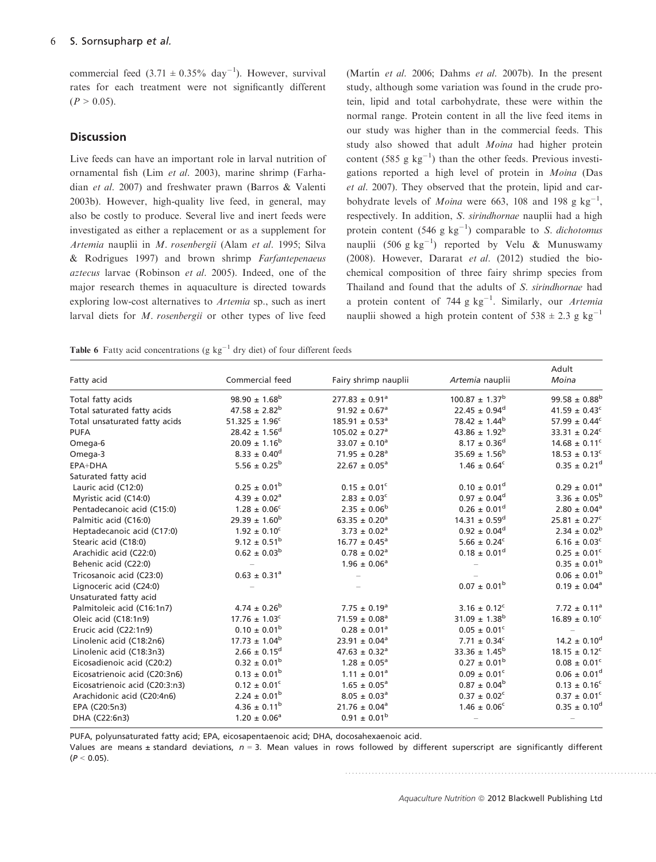commercial feed  $(3.71 \pm 0.35\% \text{ day}^{-1})$ . However, survival rates for each treatment were not significantly different  $(P > 0.05)$ .

### **Discussion**

Live feeds can have an important role in larval nutrition of ornamental fish (Lim et al. 2003), marine shrimp (Farhadian et al. 2007) and freshwater prawn (Barros & Valenti 2003b). However, high-quality live feed, in general, may also be costly to produce. Several live and inert feeds were investigated as either a replacement or as a supplement for Artemia nauplii in M. rosenbergii (Alam et al. 1995; Silva & Rodrigues 1997) and brown shrimp Farfantepenaeus aztecus larvae (Robinson et al. 2005). Indeed, one of the major research themes in aquaculture is directed towards exploring low-cost alternatives to Artemia sp., such as inert larval diets for M. rosenbergii or other types of live feed

(Martín et al. 2006; Dahms et al. 2007b). In the present study, although some variation was found in the crude protein, lipid and total carbohydrate, these were within the normal range. Protein content in all the live feed items in our study was higher than in the commercial feeds. This study also showed that adult Moina had higher protein content (585 g  $kg^{-1}$ ) than the other feeds. Previous investigations reported a high level of protein in Moina (Das et al. 2007). They observed that the protein, lipid and carbohydrate levels of *Moina* were 663, 108 and 198 g  $kg^{-1}$ , respectively. In addition, S. sirindhornae nauplii had a high protein content (546 g  $kg^{-1}$ ) comparable to *S. dichotomus* nauplii (506 g  $kg^{-1}$ ) reported by Velu & Munuswamy (2008). However, Dararat et al. (2012) studied the biochemical composition of three fairy shrimp species from Thailand and found that the adults of S. sirindhornae had a protein content of 744 g  $kg^{-1}$ . Similarly, our Artemia nauplii showed a high protein content of  $538 \pm 2.3$  g kg<sup>-1</sup>

**Table 6** Fatty acid concentrations (g  $kg^{-1}$  dry diet) of four different feeds

| Fatty acid                     | Commercial feed              | Fairy shrimp nauplii           | Artemia nauplii               | Adult<br>Moina                |
|--------------------------------|------------------------------|--------------------------------|-------------------------------|-------------------------------|
| Total fatty acids              | $98.90 \pm 1.68^{\rm b}$     | $277.83 \pm 0.91^a$            | $100.87 \pm 1.37^b$           | $99.58 \pm 0.88^{\rm b}$      |
| Total saturated fatty acids    | $47.58 \pm 2.82^b$           | $91.92 \pm 0.67$ <sup>a</sup>  | $22.45 \pm 0.94^d$            | $41.59 \pm 0.43$ <sup>c</sup> |
| Total unsaturated fatty acids  | $51.325 \pm 1.96^c$          | $185.91 \pm 0.53^a$            | $78.42 \pm 1.44^b$            | 57.99 $\pm$ 0.44 <sup>c</sup> |
| <b>PUFA</b>                    | $28.42 \pm 1.56^d$           | $105.02 \pm 0.27$ <sup>a</sup> | 43.86 $\pm$ 1.92 <sup>b</sup> | 33.31 $\pm$ 0.24 <sup>c</sup> |
| Omega-6                        | $20.09 \pm 1.16^b$           | $33.07 \pm 0.10^a$             | $8.17 \pm 0.36^d$             | $14.68 \pm 0.11^{\circ}$      |
| Omega-3                        | $8.33 \pm 0.40^d$            | $71.95 \pm 0.28$ <sup>a</sup>  | $35.69 \pm 1.56^b$            | $18.53 \pm 0.13$ <sup>c</sup> |
| EPA+DHA                        | $5.56\,\pm\,0.25^{\rm b}$    | $22.67 \pm 0.05^a$             | $1.46 \pm 0.64^c$             | $0.35 \pm 0.21^d$             |
| Saturated fatty acid           |                              |                                |                               |                               |
| Lauric acid (C12:0)            | $0.25 \pm 0.01^{\rm b}$      | $0.15 \pm 0.01^{\circ}$        | $0.10 \pm 0.01^d$             | $0.29 \pm 0.01^a$             |
| Myristic acid (C14:0)          | $4.39 \pm 0.02$ <sup>a</sup> | $2.83 \pm 0.03^{\circ}$        | $0.97 \pm 0.04^d$             | $3.36 \pm 0.05^{\rm b}$       |
| Pentadecanoic acid (C15:0)     | $1.28 \pm 0.06^c$            | $2.35 \pm 0.06^b$              | $0.26 \pm 0.01^d$             | $2.80 \pm 0.04$ <sup>a</sup>  |
| Palmitic acid (C16:0)          | $29.39 \pm 1.60^{\rm b}$     | $63.35 \pm 0.20^a$             | $14.31 \pm 0.59^d$            | $25.81 \pm 0.27$ <sup>c</sup> |
| Heptadecanoic acid (C17:0)     | $1.92 \pm 0.10^c$            | $3.73 \pm 0.02$ <sup>a</sup>   | $0.92 \pm 0.04^d$             | $2.34 \pm 0.02^b$             |
| Stearic acid (C18:0)           | $9.12 \pm 0.51^{\rm b}$      | $16.77 \pm 0.45^{\circ}$       | $5.66 \pm 0.24^c$             | $6.16 \pm 0.03$ <sup>c</sup>  |
| Arachidic acid (C22:0)         | $0.62 \pm 0.03^b$            | $0.78 \pm 0.02^a$              | $0.18 \pm 0.01^d$             | $0.25 \pm 0.01^c$             |
| Behenic acid (C22:0)           |                              | $1.96 \pm 0.06^a$              |                               | $0.35 \pm 0.01^{\rm b}$       |
| Tricosanoic acid (C23:0)       | $0.63 \pm 0.31^a$            |                                |                               | $0.06 \pm 0.01^{\rm b}$       |
| Lignoceric acid (C24:0)        |                              |                                | $0.07 \pm 0.01^{\rm b}$       | $0.19 \pm 0.04^a$             |
| Unsaturated fatty acid         |                              |                                |                               |                               |
| Palmitoleic acid (C16:1n7)     | $4.74 \pm 0.26^b$            | $7.75 \pm 0.19^a$              | $3.16 \pm 0.12^c$             | $7.72 \pm 0.11^a$             |
| Oleic acid (C18:1n9)           | $17.76 \pm 1.03^c$           | $71.59 \pm 0.08^a$             | $31.09 \pm 1.38^b$            | $16.89 \pm 0.10^c$            |
| Erucic acid (C22:1n9)          | $0.10\,\pm\,0.01^{\rm b}$    | $0.28 \pm 0.01^a$              | $0.05 \pm 0.01^c$             |                               |
| Linolenic acid (C18:2n6)       | $17.73 \pm 1.04^b$           | $23.91 \pm 0.04^a$             | $7.71 \pm 0.34^c$             | $14.2 \pm 0.10^d$             |
| Linolenic acid (C18:3n3)       | $2.66 \pm 0.15^d$            | $47.63 \pm 0.32$ <sup>a</sup>  | $33.36 \pm 1.45^b$            | $18.15 \pm 0.12^c$            |
| Eicosadienoic acid (C20:2)     | $0.32 \pm 0.01^{\rm b}$      | $1.28 \pm 0.05^a$              | $0.27 \pm 0.01^{\rm b}$       | $0.08 \pm 0.01$ <sup>c</sup>  |
| Eicosatrienoic acid (C20:3n6)  | $0.13 \pm 0.01^{\rm b}$      | $1.11 \pm 0.01^a$              | $0.09 \pm 0.01^c$             | $0.06 \pm 0.01^d$             |
| Eicosatrienoic acid (C20:3:n3) | $0.12 \pm 0.01^c$            | $1.65 \pm 0.05^a$              | $0.87 \pm 0.04^b$             | $0.13 \pm 0.16^c$             |
| Arachidonic acid (C20:4n6)     | $2.24 \pm 0.01^{\rm b}$      | $8.05 \pm 0.03^a$              | $0.37 \pm 0.02^c$             | $0.37 \pm 0.01^{\circ}$       |
| EPA (C20:5n3)                  | $4.36 \pm 0.11^{\rm b}$      | $21.76 \pm 0.04^a$             | $1.46 \pm 0.06^c$             | $0.35 \pm 0.10^d$             |
| DHA (C22:6n3)                  | $1.20 \pm 0.06^a$            | $0.91 \pm 0.01^{\rm b}$        |                               |                               |

PUFA, polyunsaturated fatty acid; EPA, eicosapentaenoic acid; DHA, docosahexaenoic acid.

Values are means ± standard deviations,  $n = 3$ . Mean values in rows followed by different superscript are significantly different  $(P < 0.05)$ .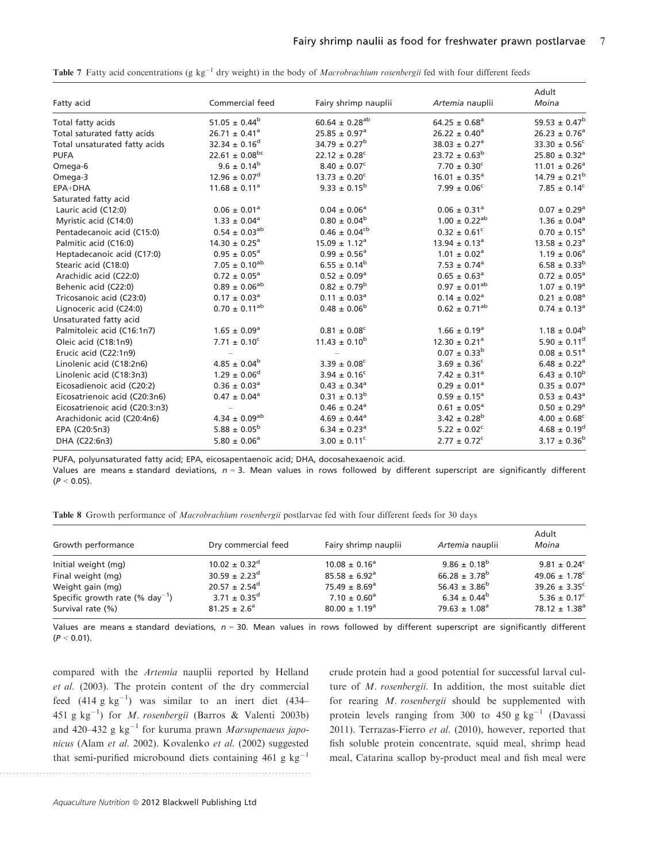| Fatty acid                     | Commercial feed               | Fairy shrimp nauplii          | Artemia nauplii               | Adult<br>Moina                |
|--------------------------------|-------------------------------|-------------------------------|-------------------------------|-------------------------------|
| Total fatty acids              | $51.05 \pm 0.44^b$            | $60.64 \pm 0.28^{ab}$         | $64.25 \pm 0.68^a$            | $59.53 \pm 0.47^b$            |
| Total saturated fatty acids    | $26.71 \pm 0.41$ <sup>a</sup> | $25.85 \pm 0.97$ <sup>a</sup> | $26.22 \pm 0.40^a$            | $26.23 \pm 0.76^a$            |
| Total unsaturated fatty acids  | $32.34 \pm 0.16^d$            | $34.79 \pm 0.27^{\rm b}$      | $38.03 \pm 0.27$ <sup>a</sup> | $33.30 \pm 0.56^c$            |
| <b>PUFA</b>                    | $22.61 \pm 0.08^{bc}$         | $22.12 \pm 0.28$ <sup>c</sup> | $23.72 \pm 0.63^{\rm b}$      | $25.80 \pm 0.32$ <sup>a</sup> |
| Omega-6                        | $9.6 \pm 0.14^b$              | $8.40 \pm 0.07^{\circ}$       | $7.70 \pm 0.30^{\circ}$       | $11.01 \pm 0.26^a$            |
| Omega-3                        | $12.96 \pm 0.07^d$            | $13.73 \pm 0.20^c$            | $16.01 \pm 0.35$ <sup>a</sup> | $14.79 \pm 0.21^{\rm b}$      |
| EPA+DHA                        | $11.68 \pm 0.11^a$            | $9.33 \pm 0.15^{\rm b}$       | $7.99 \pm 0.06^{\circ}$       | $7.85 \pm 0.14^c$             |
| Saturated fatty acid           |                               |                               |                               |                               |
| Lauric acid (C12:0)            | $0.06 \pm 0.01$ <sup>a</sup>  | $0.04 \pm 0.06^a$             | $0.06 \pm 0.31^a$             | $0.07 \pm 0.29$ <sup>a</sup>  |
| Myristic acid (C14:0)          | $1.33 \pm 0.04^a$             | $0.80 \pm 0.04^b$             | $1.00 \pm 0.22^{ab}$          | $1.36 \pm 0.04$ <sup>a</sup>  |
| Pentadecanoic acid (C15:0)     | $0.54 \pm 0.03^{ab}$          | $0.46 \pm 0.04^{\text{cb}}$   | $0.32 \pm 0.61$ <sup>c</sup>  | $0.70 \pm 0.15^a$             |
| Palmitic acid (C16:0)          | $14.30 \pm 0.25^a$            | $15.09 \pm 1.12^a$            | $13.94 \pm 0.13^a$            | $13.58 \pm 0.23^a$            |
| Heptadecanoic acid (C17:0)     | $0.95 \pm 0.05^a$             | $0.99 \pm 0.56^a$             | $1.01 \pm 0.02$ <sup>a</sup>  | $1.19 \pm 0.06^a$             |
| Stearic acid (C18:0)           | $7.05 \pm 0.10^{ab}$          | $6.55 \pm 0.14^b$             | $7.53 \pm 0.74$ <sup>a</sup>  | $6.58 \pm 0.33^b$             |
| Arachidic acid (C22:0)         | $0.72 \pm 0.05^a$             | $0.52 \pm 0.09^a$             | $0.65 \pm 0.63^a$             | $0.72 \pm 0.05^{\rm a}$       |
| Behenic acid (C22:0)           | $0.89 \pm 0.06^{ab}$          | $0.82 \pm 0.79^{\rm b}$       | $0.97 \pm 0.01^{ab}$          | $1.07 \pm 0.19^a$             |
| Tricosanoic acid (C23:0)       | $0.17 \pm 0.03^a$             | $0.11 \pm 0.03^{\circ}$       | $0.14 \pm 0.02$ <sup>a</sup>  | $0.21 \pm 0.08^a$             |
| Lignoceric acid (C24:0)        | $0.70 \pm 0.11^{ab}$          | $0.48 \pm 0.06^b$             | $0.62 \pm 0.71^{ab}$          | $0.74 \pm 0.13^a$             |
| Unsaturated fatty acid         |                               |                               |                               |                               |
| Palmitoleic acid (C16:1n7)     | $1.65 \pm 0.09^a$             | $0.81 \pm 0.08^c$             | $1.66 \pm 0.19^a$             | $1.18 \pm 0.04^b$             |
| Oleic acid (C18:1n9)           | $7.71 \pm 0.10^{\circ}$       | $11.43 \pm 0.10^b$            | $12.30 \pm 0.21$ <sup>a</sup> | $5.90 \pm 0.11^d$             |
| Erucic acid (C22:1n9)          |                               |                               | $0.07 \pm 0.33^b$             | $0.08 \pm 0.51^a$             |
| Linolenic acid (C18:2n6)       | $4.85 \pm 0.04^b$             | $3.39 \pm 0.08^{\circ}$       | $3.69 \pm 0.36^{\circ}$       | $6.48 \pm 0.22$ <sup>a</sup>  |
| Linolenic acid (C18:3n3)       | $1.29 \pm 0.06^d$             | $3.94 \pm 0.16^c$             | $7.42 \pm 0.31$ <sup>a</sup>  | $6.43 \pm 0.10^b$             |
| Eicosadienoic acid (C20:2)     | $0.36 \pm 0.03^{\circ}$       | $0.43 \pm 0.34$ <sup>a</sup>  | $0.29 \pm 0.01^a$             | $0.35 \pm 0.07$ <sup>a</sup>  |
| Eicosatrienoic acid (C20:3n6)  | $0.47 \pm 0.04^a$             | $0.31 \pm 0.13^b$             | $0.59 \pm 0.15^a$             | $0.53 \pm 0.43^{\circ}$       |
| Eicosatrienoic acid (C20:3:n3) |                               | $0.46 \pm 0.24$ <sup>a</sup>  | $0.61 \pm 0.05^a$             | $0.50 \pm 0.29^{\rm a}$       |
| Arachidonic acid (C20:4n6)     | $4.34 \pm 0.09^{ab}$          | $4.69 \pm 0.44$ <sup>a</sup>  | $3.42 \pm 0.28^{\rm b}$       | $4.00 \pm 0.68^{\circ}$       |
| EPA (C20:5n3)                  | $5.88 \pm 0.05^{\rm b}$       | $6.34 \pm 0.23$ <sup>a</sup>  | $5.22 \pm 0.02^c$             | $4.68 \pm 0.19^d$             |
| DHA (C22:6n3)                  | $5.80 \pm 0.06^a$             | $3.00 \pm 0.11^{\circ}$       | $2.77 \pm 0.72$ <sup>c</sup>  | $3.17 \pm 0.36^{\rm b}$       |

Table 7 Fatty acid concentrations (g kg<sup>-1</sup> dry weight) in the body of *Macrobrachium rosenbergii* fed with four different feeds

PUFA, polyunsaturated fatty acid; EPA, eicosapentaenoic acid; DHA, docosahexaenoic acid.

Values are means ± standard deviations,  $n = 3$ . Mean values in rows followed by different superscript are significantly different  $(P < 0.05)$ .

|  | Table 8 Growth performance of Macrobrachium rosenbergii postlarvae fed with four different feeds for 30 days |  |  |  |  |  |  |  |  |
|--|--------------------------------------------------------------------------------------------------------------|--|--|--|--|--|--|--|--|
|--|--------------------------------------------------------------------------------------------------------------|--|--|--|--|--|--|--|--|

| Growth performance                          | Dry commercial feed         | Fairy shrimp nauplii          | Artemia nauplii    | Adult<br>Moina                |
|---------------------------------------------|-----------------------------|-------------------------------|--------------------|-------------------------------|
| Initial weight (mg)                         | $10.02 \pm 0.32^d$          | $10.08 \pm 0.16^a$            | $9.86 \pm 0.18^b$  | $9.81 \pm 0.24^{\circ}$       |
| Final weight (mg)                           | $30.59 \pm 2.23^{\text{d}}$ | $85.58 \pm 6.92$ <sup>a</sup> | $66.28 \pm 3.78^b$ | 49.06 $\pm$ 1.78 <sup>c</sup> |
| Weight gain (mg)                            | $20.57 \pm 2.54^{\circ}$    | $75.49 \pm 8.69$ <sup>a</sup> | $56.43 \pm 3.86^b$ | $39.26 \pm 3.35^{\circ}$      |
| Specific growth rate (% day <sup>-1</sup> ) | $3.71 \pm 0.35^{\text{d}}$  | $7.10 \pm 0.60^{\circ}$       | $6.34 \pm 0.44^b$  | $5.36 \pm 0.17^c$             |
| Survival rate (%)                           | $81.25 \pm 2.6^a$           | $80.00 \pm 1.19^{\circ}$      | $79.63 \pm 1.08^a$ | $78.12 \pm 1.38$ <sup>a</sup> |

Values are means ± standard deviations,  $n = 30$ . Mean values in rows followed by different superscript are significantly different  $(P < 0.01)$ .

compared with the Artemia nauplii reported by Helland et al. (2003). The protein content of the dry commercial feed  $(414 \text{ g kg}^{-1})$  was similar to an inert diet  $(434-$ 451 g kg<sup>-1</sup>) for *M. rosenbergii* (Barros & Valenti 2003b) and 420–432 g  $kg^{-1}$  for kuruma prawn Marsupenaeus japonicus (Alam et al. 2002). Kovalenko et al. (2002) suggested that semi-purified microbound diets containing 461 g  $kg^{-1}$  crude protein had a good potential for successful larval culture of M. rosenbergii. In addition, the most suitable diet for rearing M. rosenbergii should be supplemented with protein levels ranging from 300 to 450 g  $kg^{-1}$  (Davassi 2011). Terrazas-Fierro et al. (2010), however, reported that fish soluble protein concentrate, squid meal, shrimp head meal, Catarina scallop by-product meal and fish meal were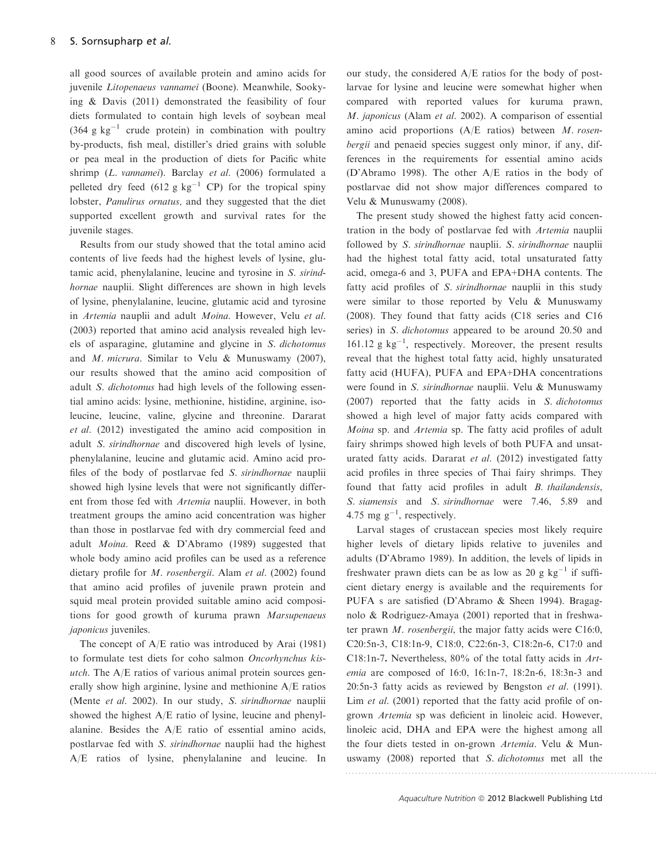all good sources of available protein and amino acids for juvenile Litopenaeus vannamei (Boone). Meanwhile, Sookying & Davis (2011) demonstrated the feasibility of four diets formulated to contain high levels of soybean meal  $(364 \text{ g kg}^{-1}$  crude protein) in combination with poultry by-products, fish meal, distiller's dried grains with soluble or pea meal in the production of diets for Pacific white shrimp (L. vannamei). Barclay et al. (2006) formulated a pelleted dry feed (612 g kg<sup>-1</sup> CP) for the tropical spiny lobster, Panulirus ornatus, and they suggested that the diet supported excellent growth and survival rates for the juvenile stages.

Results from our study showed that the total amino acid contents of live feeds had the highest levels of lysine, glutamic acid, phenylalanine, leucine and tyrosine in S. sirindhornae nauplii. Slight differences are shown in high levels of lysine, phenylalanine, leucine, glutamic acid and tyrosine in Artemia nauplii and adult Moina. However, Velu et al. (2003) reported that amino acid analysis revealed high levels of asparagine, glutamine and glycine in S. dichotomus and M. micrura. Similar to Velu & Munuswamy (2007), our results showed that the amino acid composition of adult S. dichotomus had high levels of the following essential amino acids: lysine, methionine, histidine, arginine, isoleucine, leucine, valine, glycine and threonine. Dararat et al. (2012) investigated the amino acid composition in adult S. sirindhornae and discovered high levels of lysine, phenylalanine, leucine and glutamic acid. Amino acid profiles of the body of postlarvae fed S. sirindhornae nauplii showed high lysine levels that were not significantly different from those fed with Artemia nauplii. However, in both treatment groups the amino acid concentration was higher than those in postlarvae fed with dry commercial feed and adult Moina. Reed & D'Abramo (1989) suggested that whole body amino acid profiles can be used as a reference dietary profile for M. rosenbergii. Alam et al. (2002) found that amino acid profiles of juvenile prawn protein and squid meal protein provided suitable amino acid compositions for good growth of kuruma prawn Marsupenaeus japonicus juveniles.

The concept of A/E ratio was introduced by Arai (1981) to formulate test diets for coho salmon Oncorhynchus kisutch. The  $A/E$  ratios of various animal protein sources generally show high arginine, lysine and methionine A/E ratios (Mente et al. 2002). In our study, S. sirindhornae nauplii showed the highest A/E ratio of lysine, leucine and phenylalanine. Besides the A/E ratio of essential amino acids, postlarvae fed with S. sirindhornae nauplii had the highest A/E ratios of lysine, phenylalanine and leucine. In our study, the considered A/E ratios for the body of postlarvae for lysine and leucine were somewhat higher when compared with reported values for kuruma prawn, M. japonicus (Alam et al. 2002). A comparison of essential amino acid proportions (A/E ratios) between M. rosenbergii and penaeid species suggest only minor, if any, differences in the requirements for essential amino acids (D'Abramo 1998). The other A/E ratios in the body of postlarvae did not show major differences compared to Velu & Munuswamy (2008).

The present study showed the highest fatty acid concentration in the body of postlarvae fed with Artemia nauplii followed by S. sirindhornae nauplii. S. sirindhornae nauplii had the highest total fatty acid, total unsaturated fatty acid, omega-6 and 3, PUFA and EPA+DHA contents. The fatty acid profiles of S. sirindhornae nauplii in this study were similar to those reported by Velu & Munuswamy (2008). They found that fatty acids (C18 series and C16 series) in S. dichotomus appeared to be around 20.50 and 161.12  $g \text{ kg}^{-1}$ , respectively. Moreover, the present results reveal that the highest total fatty acid, highly unsaturated fatty acid (HUFA), PUFA and EPA+DHA concentrations were found in S. sirindhornae nauplii. Velu & Munuswamy (2007) reported that the fatty acids in S. dichotomus showed a high level of major fatty acids compared with Moina sp. and Artemia sp. The fatty acid profiles of adult fairy shrimps showed high levels of both PUFA and unsaturated fatty acids. Dararat et al. (2012) investigated fatty acid profiles in three species of Thai fairy shrimps. They found that fatty acid profiles in adult *B. thailandensis*, S. siamensis and S. sirindhornae were 7.46, 5.89 and 4.75 mg  $g^{-1}$ , respectively.

Larval stages of crustacean species most likely require higher levels of dietary lipids relative to juveniles and adults (D'Abramo 1989). In addition, the levels of lipids in freshwater prawn diets can be as low as 20 g  $kg^{-1}$  if sufficient dietary energy is available and the requirements for PUFA s are satisfied (D'Abramo & Sheen 1994). Bragagnolo & Rodriguez-Amaya (2001) reported that in freshwater prawn M. rosenbergii, the major fatty acids were C16:0, C20:5n-3, C18:1n-9, C18:0, C22:6n-3, C18:2n-6, C17:0 and C18:1n-7. Nevertheless, 80% of the total fatty acids in Artemia are composed of 16:0, 16:1n-7, 18:2n-6, 18:3n-3 and 20:5n-3 fatty acids as reviewed by Bengston et al. (1991). Lim *et al.* (2001) reported that the fatty acid profile of ongrown Artemia sp was deficient in linoleic acid. However, linoleic acid, DHA and EPA were the highest among all the four diets tested in on-grown Artemia. Velu & Munuswamy (2008) reported that S. dichotomus met all the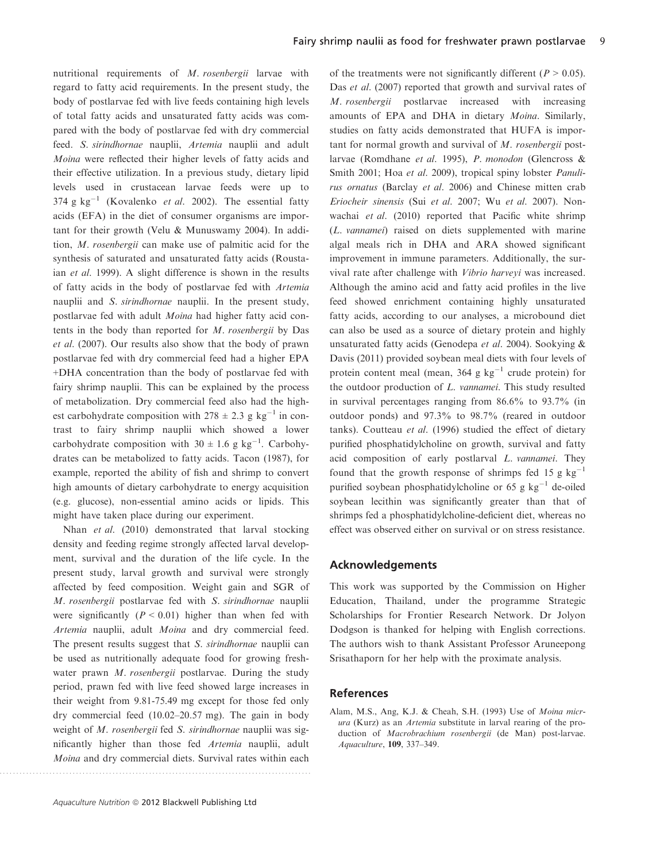nutritional requirements of M. rosenbergii larvae with regard to fatty acid requirements. In the present study, the body of postlarvae fed with live feeds containing high levels of total fatty acids and unsaturated fatty acids was compared with the body of postlarvae fed with dry commercial feed. S. sirindhornae nauplii, Artemia nauplii and adult Moina were reflected their higher levels of fatty acids and their effective utilization. In a previous study, dietary lipid levels used in crustacean larvae feeds were up to 374 g kg<sup>-1</sup> (Kovalenko *et al.* 2002). The essential fatty acids (EFA) in the diet of consumer organisms are important for their growth (Velu & Munuswamy 2004). In addition, M. rosenbergii can make use of palmitic acid for the synthesis of saturated and unsaturated fatty acids (Roustaian et al. 1999). A slight difference is shown in the results of fatty acids in the body of postlarvae fed with Artemia nauplii and S. sirindhornae nauplii. In the present study, postlarvae fed with adult Moina had higher fatty acid contents in the body than reported for M. rosenbergii by Das et al. (2007). Our results also show that the body of prawn postlarvae fed with dry commercial feed had a higher EPA +DHA concentration than the body of postlarvae fed with fairy shrimp nauplii. This can be explained by the process of metabolization. Dry commercial feed also had the highest carbohydrate composition with  $278 \pm 2.3$  g kg<sup>-1</sup> in contrast to fairy shrimp nauplii which showed a lower carbohydrate composition with  $30 \pm 1.6$  g kg<sup>-1</sup>. Carbohydrates can be metabolized to fatty acids. Tacon (1987), for example, reported the ability of fish and shrimp to convert high amounts of dietary carbohydrate to energy acquisition (e.g. glucose), non-essential amino acids or lipids. This might have taken place during our experiment.

Nhan et al. (2010) demonstrated that larval stocking density and feeding regime strongly affected larval development, survival and the duration of the life cycle. In the present study, larval growth and survival were strongly affected by feed composition. Weight gain and SGR of M. rosenbergii postlarvae fed with S. sirindhornae nauplii were significantly  $(P < 0.01)$  higher than when fed with Artemia nauplii, adult Moina and dry commercial feed. The present results suggest that *S. sirindhornae* nauplii can be used as nutritionally adequate food for growing freshwater prawn M. rosenbergii postlarvae. During the study period, prawn fed with live feed showed large increases in their weight from 9.81-75.49 mg except for those fed only dry commercial feed (10.02–20.57 mg). The gain in body weight of M. rosenbergii fed S. sirindhornae nauplii was significantly higher than those fed Artemia nauplii, adult Moina and dry commercial diets. Survival rates within each

..............................................................................................

of the treatments were not significantly different ( $P > 0.05$ ). Das et al. (2007) reported that growth and survival rates of M. rosenbergii postlarvae increased with increasing amounts of EPA and DHA in dietary Moina. Similarly, studies on fatty acids demonstrated that HUFA is important for normal growth and survival of M. rosenbergii postlarvae (Romdhane et al. 1995), P. monodon (Glencross & Smith 2001; Hoa et al. 2009), tropical spiny lobster *Panuli*rus ornatus (Barclay et al. 2006) and Chinese mitten crab Eriocheir sinensis (Sui et al. 2007; Wu et al. 2007). Nonwachai et al. (2010) reported that Pacific white shrimp (L. vannamei) raised on diets supplemented with marine algal meals rich in DHA and ARA showed significant improvement in immune parameters. Additionally, the survival rate after challenge with Vibrio harveyi was increased. Although the amino acid and fatty acid profiles in the live feed showed enrichment containing highly unsaturated fatty acids, according to our analyses, a microbound diet can also be used as a source of dietary protein and highly unsaturated fatty acids (Genodepa et al. 2004). Sookying & Davis (2011) provided soybean meal diets with four levels of protein content meal (mean,  $364 \text{ g kg}^{-1}$  crude protein) for the outdoor production of L. vannamei. This study resulted in survival percentages ranging from 86.6% to 93.7% (in outdoor ponds) and 97.3% to 98.7% (reared in outdoor tanks). Coutteau et al. (1996) studied the effect of dietary purified phosphatidylcholine on growth, survival and fatty acid composition of early postlarval L. vannamei. They found that the growth response of shrimps fed 15 g  $kg^{-1}$ purified soybean phosphatidylcholine or 65 g  $kg^{-1}$  de-oiled soybean lecithin was significantly greater than that of shrimps fed a phosphatidylcholine-deficient diet, whereas no effect was observed either on survival or on stress resistance.

#### **Acknowledgements**

This work was supported by the Commission on Higher Education, Thailand, under the programme Strategic Scholarships for Frontier Research Network. Dr Jolyon Dodgson is thanked for helping with English corrections. The authors wish to thank Assistant Professor Aruneepong Srisathaporn for her help with the proximate analysis.

#### **References**

Alam, M.S., Ang, K.J. & Cheah, S.H. (1993) Use of Moina micrura (Kurz) as an Artemia substitute in larval rearing of the production of Macrobrachium rosenbergii (de Man) post-larvae. Aquaculture, 109, 337–349.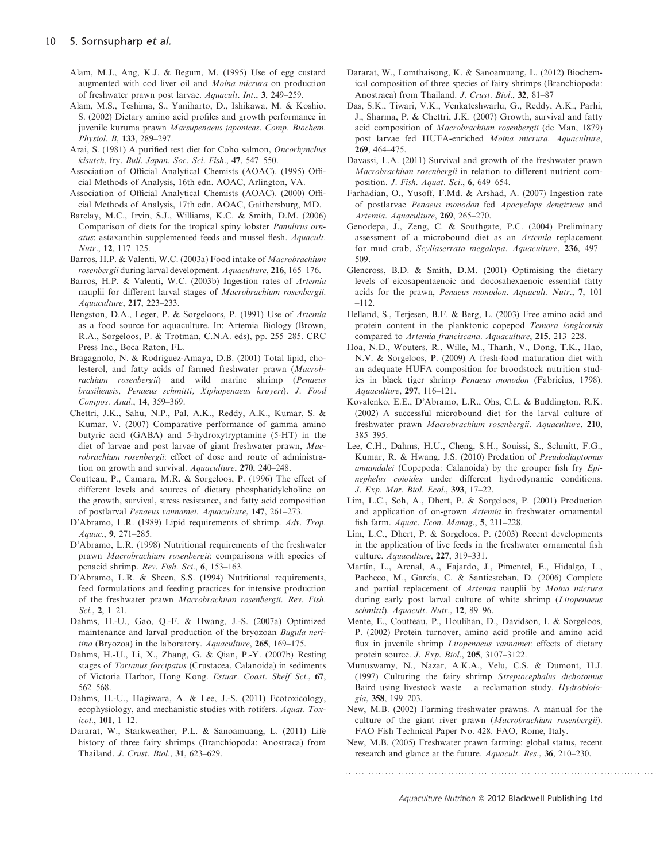- Alam, M.J., Ang, K.J. & Begum, M. (1995) Use of egg custard augmented with cod liver oil and Moina micrura on production of freshwater prawn post larvae. Aquacult. Int., 3, 249–259.
- Alam, M.S., Teshima, S., Yaniharto, D., Ishikawa, M. & Koshio, S. (2002) Dietary amino acid profiles and growth performance in juvenile kuruma prawn Marsupenaeus japonicas. Comp. Biochem. Physiol. B, 133, 289–297.
- Arai, S. (1981) A purified test diet for Coho salmon, Oncorhynchus kisutch, fry. Bull. Japan. Soc. Sci. Fish., 47, 547–550.
- Association of Official Analytical Chemists (AOAC). (1995) Official Methods of Analysis, 16th edn. AOAC, Arlington, VA.
- Association of Official Analytical Chemists (AOAC). (2000) Official Methods of Analysis, 17th edn. AOAC, Gaithersburg, MD.
- Barclay, M.C., Irvin, S.J., Williams, K.C. & Smith, D.M. (2006) Comparison of diets for the tropical spiny lobster Panulirus ornatus: astaxanthin supplemented feeds and mussel flesh. Aquacult. Nutr., 12, 117–125.
- Barros, H.P. & Valenti, W.C. (2003a) Food intake of Macrobrachium rosenbergii during larval development. Aquaculture, 216, 165–176.
- Barros, H.P. & Valenti, W.C. (2003b) Ingestion rates of Artemia nauplii for different larval stages of Macrobrachium rosenbergii. Aquaculture, 217, 223–233.
- Bengston, D.A., Leger, P. & Sorgeloors, P. (1991) Use of Artemia as a food source for aquaculture. In: Artemia Biology (Brown, R.A., Sorgeloos, P. & Trotman, C.N.A. eds), pp. 255–285. CRC Press Inc., Boca Raton, FL.
- Bragagnolo, N. & Rodriguez-Amaya, D.B. (2001) Total lipid, cholesterol, and fatty acids of farmed freshwater prawn (Macrobrachium rosenbergii) and wild marine shrimp (Penaeus brasiliensis, Penaeus schmitti, Xiphopenaeus krøyeri). J. Food Compos. Anal., 14, 359–369.
- Chettri, J.K., Sahu, N.P., Pal, A.K., Reddy, A.K., Kumar, S. & Kumar, V. (2007) Comparative performance of gamma amino butyric acid (GABA) and 5-hydroxytryptamine (5-HT) in the diet of larvae and post larvae of giant freshwater prawn, Macrobrachium rosenbergii: effect of dose and route of administration on growth and survival. Aquaculture, 270, 240–248.
- Coutteau, P., Camara, M.R. & Sorgeloos, P. (1996) The effect of different levels and sources of dietary phosphatidylcholine on the growth, survival, stress resistance, and fatty acid composition of postlarval Penaeus vannamei. Aquaculture, 147, 261–273.
- D'Abramo, L.R. (1989) Lipid requirements of shrimp. Adv. Trop. Aquac., 9, 271–285.
- D'Abramo, L.R. (1998) Nutritional requirements of the freshwater prawn Macrobrachium rosenbergii: comparisons with species of penaeid shrimp. Rev. Fish. Sci., 6, 153–163.
- D'Abramo, L.R. & Sheen, S.S. (1994) Nutritional requirements, feed formulations and feeding practices for intensive production of the freshwater prawn Macrobrachium rosenbergii. Rev. Fish. Sci., 2, 1–21.
- Dahms, H.-U., Gao, Q.-F. & Hwang, J.-S. (2007a) Optimized maintenance and larval production of the bryozoan Bugula neritina (Bryozoa) in the laboratory. Aquaculture, 265, 169–175.
- Dahms, H.-U., Li, X., Zhang, G. & Qian, P.-Y. (2007b) Resting stages of Tortanus forcipatus (Crustacea, Calanoida) in sediments of Victoria Harbor, Hong Kong. Estuar. Coast. Shelf Sci., 67, 562–568.
- Dahms, H.-U., Hagiwara, A. & Lee, J.-S. (2011) Ecotoxicology, ecophysiology, and mechanistic studies with rotifers. Aquat. Toxicol., 101, 1–12.
- Dararat, W., Starkweather, P.L. & Sanoamuang, L. (2011) Life history of three fairy shrimps (Branchiopoda: Anostraca) from Thailand. J. Crust. Biol., 31, 623–629.
- Dararat, W., Lomthaisong, K. & Sanoamuang, L. (2012) Biochemical composition of three species of fairy shrimps (Branchiopoda: Anostraca) from Thailand. J. Crust. Biol., 32, 81–87
- Das, S.K., Tiwari, V.K., Venkateshwarlu, G., Reddy, A.K., Parhi, J., Sharma, P. & Chettri, J.K. (2007) Growth, survival and fatty acid composition of Macrobrachium rosenbergii (de Man, 1879) post larvae fed HUFA-enriched Moina micrura. Aquaculture, 269, 464–475.
- Davassi, L.A. (2011) Survival and growth of the freshwater prawn Macrobrachium rosenbergii in relation to different nutrient composition. J. Fish. Aquat. Sci., 6, 649–654.
- Farhadian, O., Yusoff, F.Md. & Arshad, A. (2007) Ingestion rate of postlarvae Penaeus monodon fed Apocyclops dengizicus and Artemia. Aquaculture, 269, 265–270.
- Genodepa, J., Zeng, C. & Southgate, P.C. (2004) Preliminary assessment of a microbound diet as an Artemia replacement for mud crab, Scyllaserrata megalopa. Aquaculture, 236, 497– 509.
- Glencross, B.D. & Smith, D.M. (2001) Optimising the dietary levels of eicosapentaenoic and docosahexaenoic essential fatty acids for the prawn, Penaeus monodon. Aquacult. Nutr., 7, 101 –112.
- Helland, S., Terjesen, B.F. & Berg, L. (2003) Free amino acid and protein content in the planktonic copepod Temora longicornis compared to Artemia franciscana. Aquaculture, 215, 213–228.
- Hoa, N.D., Wouters, R., Wille, M., Thanh, V., Dong, T.K., Hao, N.V. & Sorgeloos, P. (2009) A fresh-food maturation diet with an adequate HUFA composition for broodstock nutrition studies in black tiger shrimp Penaeus monodon (Fabricius, 1798). Aquaculture, 297, 116–121.
- Kovalenko, E.E., D'Abramo, L.R., Ohs, C.L. & Buddington, R.K. (2002) A successful microbound diet for the larval culture of freshwater prawn Macrobrachium rosenbergii. Aquaculture, 210, 385–395.
- Lee, C.H., Dahms, H.U., Cheng, S.H., Souissi, S., Schmitt, F.G., Kumar, R. & Hwang, J.S. (2010) Predation of Pseudodiaptomus annandalei (Copepoda: Calanoida) by the grouper fish fry Epinephelus coioides under different hydrodynamic conditions. J. Exp. Mar. Biol. Ecol., 393, 17–22.
- Lim, L.C., Soh, A., Dhert, P. & Sorgeloos, P. (2001) Production and application of on-grown Artemia in freshwater ornamental fish farm. Aquac. Econ. Manag., 5, 211–228.
- Lim, L.C., Dhert, P. & Sorgeloos, P. (2003) Recent developments in the application of live feeds in the freshwater ornamental fish culture. Aquaculture, 227, 319–331.
- Martín, L., Arenal, A., Fajardo, J., Pimentel, E., Hidalgo, L., Pacheco, M., García, C. & Santiesteban, D. (2006) Complete and partial replacement of Artemia nauplii by Moina micrura during early post larval culture of white shrimp (Litopenaeus schmitti). Aquacult. Nutr., 12, 89–96.
- Mente, E., Coutteau, P., Houlihan, D., Davidson, I. & Sorgeloos, P. (2002) Protein turnover, amino acid profile and amino acid flux in juvenile shrimp Litopenaeus vannamei: effects of dietary protein source. J. Exp. Biol., 205, 3107–3122.
- Munuswamy, N., Nazar, A.K.A., Velu, C.S. & Dumont, H.J. (1997) Culturing the fairy shrimp Streptocephalus dichotomus Baird using livestock waste – a reclamation study.  $Hydrobiolo$ gia, 358, 199–203.
- New, M.B. (2002) Farming freshwater prawns. A manual for the culture of the giant river prawn (Macrobrachium rosenbergii). FAO Fish Technical Paper No. 428. FAO, Rome, Italy.
- New, M.B. (2005) Freshwater prawn farming: global status, recent research and glance at the future. Aquacult. Res., 36, 210–230.

Aquaculture Nutrition © 2012 Blackwell Publishing Ltd